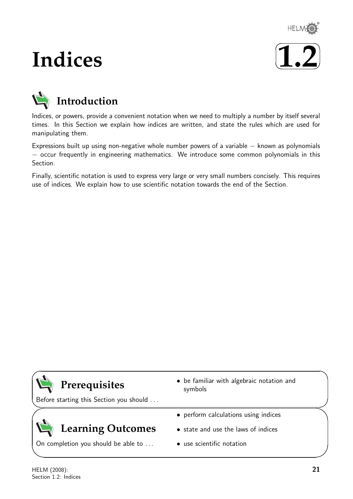

# **Indices**





Indices, or powers, provide a convenient notation when we need to multiply a number by itself several times. In this Section we explain how indices are written, and state the rules which are used for manipulating them.

Expressions built up using non-negative whole number powers of a variable − known as polynomials − occur frequently in engineering mathematics. We introduce some common polynomials in this Section.

Finally, scientific notation is used to express very large or very small numbers concisely. This requires use of indices. We explain how to use scientific notation towards the end of the Section.

## **Prerequisites**

Before starting this Section you should . . .

## **Learning Outcomes**

On completion you should be able to ...

- be familiar with algebraic notation and symbols
- perform calculations using indices
- state and use the laws of indices
- use scientific notation

 $\overline{\phantom{0}}$ 

 $\searrow$ 

 $\ge$ 

 $\overline{\phantom{0}}$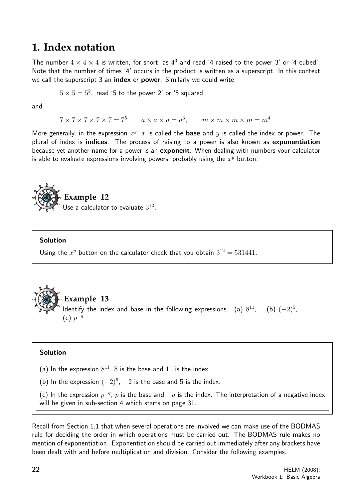## **1. Index notation**

The number  $4 \times 4 \times 4$  is written, for short, as  $4^3$  and read '4 raised to the power 3' or '4 cubed'. Note that the number of times '4' occurs in the product is written as a superscript. In this context we call the superscript 3 an index or power. Similarly we could write

 $5\times 5=5^2,$  read '5 to the power 2' or '5 squared'

and

 $7 \times 7 \times 7 \times 7 \times 7 = 7^5$  a  $\times$  a  $\times$  a  $=$  a<sup>3</sup>, m  $\times$  m  $\times$  m  $\times$  m  $=$  m<sup>4</sup>

More generally, in the expression  $x^y$ , x is called the **base** and y is called the index or power. The plural of index is **indices**. The process of raising to a power is also known as **exponentiation** because yet another name for a power is an exponent. When dealing with numbers your calculator is able to evaluate expressions involving powers, probably using the  $x^y$  button.



#### Solution

Using the  $x^y$  button on the calculator check that you obtain  $3^{12} = 531441$ .



#### Solution

(a) In the expression  $8^{11}$ , 8 is the base and 11 is the index.

(b) In the expression  $(-2)^5$ ,  $-2$  is the base and 5 is the index.

(c) In the expression  $p^{-q}$ ,  $p$  is the base and  $-q$  is the index. The interpretation of a negative index will be given in sub-section 4 which starts on page 31.

Recall from Section 1.1 that when several operations are involved we can make use of the BODMAS rule for deciding the order in which operations must be carried out. The BODMAS rule makes no mention of exponentiation. Exponentiation should be carried out immediately after any brackets have been dealt with and before multiplication and division. Consider the following examples.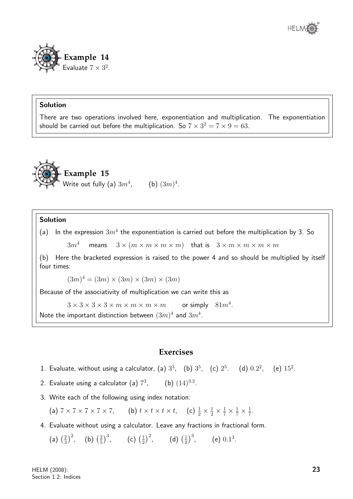

There are two operations involved here, exponentiation and multiplication. The exponentiation should be carried out before the multiplication. So  $7 \times 3^2 = 7 \times 9 = 63.$ 



### Solution

(a) In the expression  $3m^4$  the exponentiation is carried out before the multiplication by 3. So

 $3m^4$  means  $3 \times (m \times m \times m \times m)$  that is  $3 \times m \times m \times m \times m$ 

(b) Here the bracketed expression is raised to the power 4 and so should be multiplied by itself four times:

 $(3m)^4 = (3m) \times (3m) \times (3m) \times (3m)$ 

Because of the associativity of multiplication we can write this as

 $3 \times 3 \times 3 \times 3 \times m \times m \times m \times m$ or simply  $81m^4$ .

Note the important distinction between  $(3m)^4$  and  $3m^4$ .

### **Exercises**

- 1. Evaluate, without using a calculator, (a)  $3^3$ , (b)  $3^5$ , (c)  $2^5$ . (d)  $0.2^2$ , (e)  $15^2$ .
- 2. Evaluate using a calculator (a)  $7^3$ , (b)  $(14)^{3.2}$ .
- 3. Write each of the following using index notation:

(a)  $7 \times 7 \times 7 \times 7$ , (b)  $t \times t \times t$ , (c)  $\frac{1}{2} \times \frac{1}{2} \times \frac{1}{7} \times \frac{1}{7}$  $\frac{1}{7}$ .

4. Evaluate without using a calculator. Leave any fractions in fractional form.

(a)  $\left(\frac{2}{3}\right)$  $\left(\frac{2}{3}\right)^2$ , (b)  $\left(\frac{2}{5}\right)$  $\left(\frac{2}{5}\right)^3$ , (c)  $\left(\frac{1}{2}\right)$  $(\frac{1}{2})^2$ , (d)  $(\frac{1}{2})$  $\frac{1}{2}$ )<sup>3</sup>, (e) 0.1<sup>3</sup>.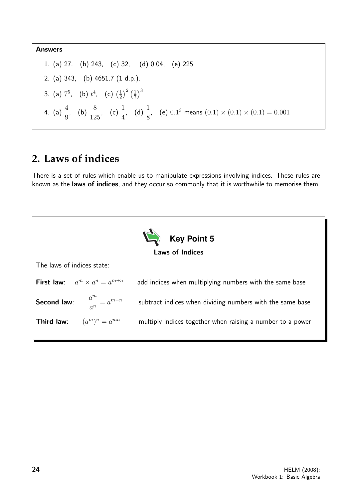Answers 1. (a) 27, (b) 243, (c) 32, (d) 0.04, (e) 225 2. (a) 343, (b) 4651.7 (1 d.p.). 3. (a)  $7^5$ , (b)  $t^4$ , (c)  $(\frac{1}{2})$  $(\frac{1}{2})^2(\frac{1}{7})$  $(\frac{1}{7})^3$ 4. (a)  $\frac{4}{9}$ 9 , (b)  $\frac{8}{18}$ 125 , (c)  $\frac{1}{4}$ 4 , (d)  $\frac{1}{2}$ 8 (e)  $0.1^3$  means  $(0.1) \times (0.1) \times (0.1) = 0.001$ 

## **2. Laws of indices**

There is a set of rules which enable us to manipulate expressions involving indices. These rules are known as the laws of indices, and they occur so commonly that it is worthwhile to memorise them.

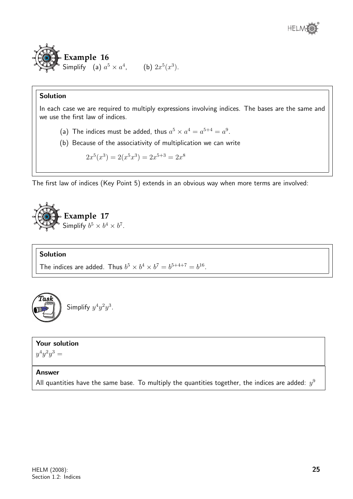

In each case we are required to multiply expressions involving indices. The bases are the same and we use the first law of indices.

- (a) The indices must be added, thus  $a^5 \times a^4 = a^{5+4} = a^9$ .
- (b) Because of the associativity of multiplication we can write

$$
2x^5(x^3) = 2(x^5x^3) = 2x^{5+3} = 2x^8
$$

The first law of indices (Key Point 5) extends in an obvious way when more terms are involved:



## Solution

The indices are added. Thus  $b^5 \times b^4 \times b^7 = b^{5+4+7} = b^{16}$ .

$$
\left(\begin{matrix}\n\text{Task} \\
\text{Simplify } y^4y^2y^3.\n\end{matrix}\right)
$$

## Your solution

 $y^4y^2y^3 =$ 

## Answer

All quantities have the same base. To multiply the quantities together, the indices are added:  $y^9$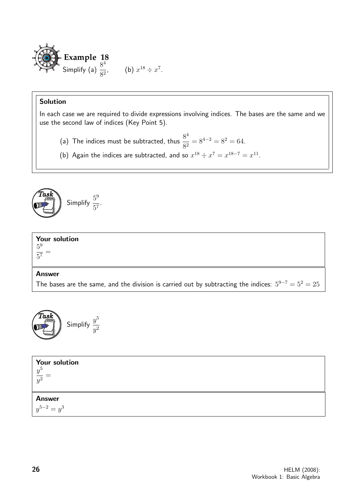

In each case we are required to divide expressions involving indices. The bases are the same and we use the second law of indices (Key Point 5).

- (a) The indices must be subtracted, thus  $\frac{8^4}{8^2}$  $\frac{6}{8^2} = 8^{4-2} = 8^2 = 64.$
- (b) Again the indices are subtracted, and so  $x^{18} \div x^7 = x^{18-7} = x^{11}$ .



| <b>Your solution</b><br>5 <sup>9</sup><br>$-7$<br>$\ddot{\Omega}$ |  |
|-------------------------------------------------------------------|--|
| <b>Answer</b>                                                     |  |

The bases are the same, and the division is carried out by subtracting the indices:  $5^{9-7} = 5^2 = 25$ 



| Your solution<br>$\frac{y^5}{y^2} =$ |  |
|--------------------------------------|--|
| <b>Answer</b>                        |  |
| $y^{5-2} = y^3$                      |  |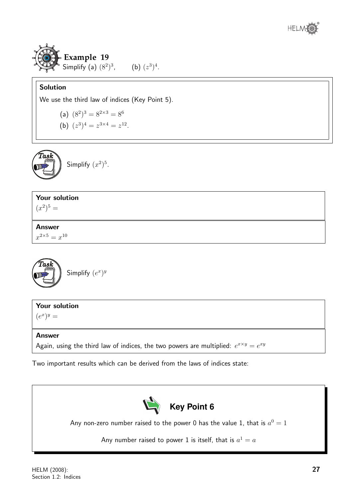



We use the third law of indices (Key Point 5).

(a)  $(8^2)^3 = 8^{2 \times 3} = 8^6$ 

(b)  $(z^3)^4 = z^{3 \times 4} = z^{12}$ .



## Your solution

 $(x^2)^5 =$ 

## Answer  $x^{2\times 5} = x^{10}$

Task Simplify  $(e^x)^y$ 

## Your solution

 $(e^x)^y =$ 

## Answer

Again, using the third law of indices, the two powers are multiplied:  $e^{x \times y} = e^{xy}$ 

Two important results which can be derived from the laws of indices state:



Any non-zero number raised to the power 0 has the value 1, that is  $a^0=1$ 

Any number raised to power 1 is itself, that is  $a^1=a$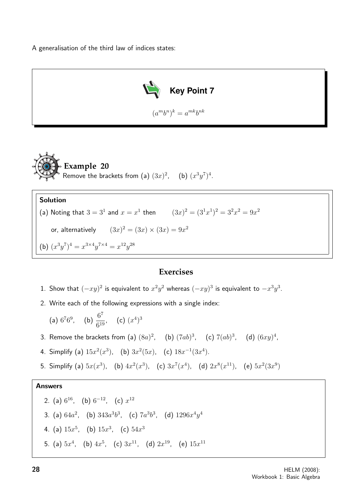A generalisation of the third law of indices states:





#### Solution

(a) Noting that  $3 = 3^1$  and  $x = x^1$  then  $(3x)^2 = (3^1x^1)^2 = 3^2x^2 = 9x^2$ 

or, alternatively  $(3x)^2 = (3x) \times (3x) = 9x^2$ 

(b)  $(x^3y^7)^4 = x^{3 \times 4}y^{7 \times 4} = x^{12}y^{28}$ 

## **Exercises**

- 1. Show that  $(-xy)^2$  is equivalent to  $x^2y^2$  whereas  $(-xy)^3$  is equivalent to  $-x^3y^3$ .
- 2. Write each of the following expressions with a single index:

(a) 
$$
6^7 6^9
$$
, (b)  $\frac{6^7}{6^{19}}$ , (c)  $(x^4)^3$ 

3. Remove the brackets from (a)  $(8a)^2$ , (b)  $(7ab)^3$ , (c)  $7(ab)^3$ , (d)  $(6xy)^4$ ,

4. Simplify (a)  $15x^2(x^3)$ , (b)  $3x^2(5x)$ , (c)  $18x^{-1}(3x^4)$ .

5. Simplify (a)  $5x(x^3)$ , (b)  $4x^2(x^3)$ , (c)  $3x^7(x^4)$ , (d)  $2x^8(x^{11})$ , (e)  $5x^2(3x^9)$ 

\n- 2. (a) 
$$
6^{16}
$$
, (b)  $6^{-12}$ , (c)  $x^{12}$
\n- 3. (a)  $64a^2$ , (b)  $343a^3b^3$ , (c)  $7a^3b^3$ , (d)  $1296x^4y^4$
\n- 4. (a)  $15x^5$ , (b)  $15x^3$ , (c)  $54x^3$
\n- 5. (a)  $5x^4$ , (b)  $4x^5$ , (c)  $3x^{11}$ , (d)  $2x^{19}$ , (e)  $15x^{11}$
\n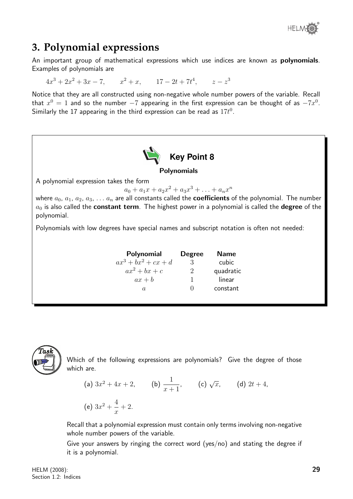

## **3. Polynomial expressions**

An important group of mathematical expressions which use indices are known as polynomials. Examples of polynomials are

 $4x^3 + 2x^2 + 3x - 7$ ,  $x^2 + x$ ,  $17 - 2t + 7t^4$ ,  $z - z^3$ 

Notice that they are all constructed using non-negative whole number powers of the variable. Recall that  $x^0=1$  and so the number  $-7$  appearing in the first expression can be thought of as  $-7x^0$ . Similarly the 17 appearing in the third expression can be read as  $17t^0$ .





Which of the following expressions are polynomials? Give the degree of those which are.

(a) 
$$
3x^2 + 4x + 2
$$
, (b)  $\frac{1}{x+1}$ , (c)  $\sqrt{x}$ , (d)  $2t + 4$ ,  
(e)  $3x^2 + \frac{4}{x} + 2$ .

Recall that a polynomial expression must contain only terms involving non-negative whole number powers of the variable.

Give your answers by ringing the correct word (yes/no) and stating the degree if it is a polynomial.

HELM (2008): Section 1.2: Indices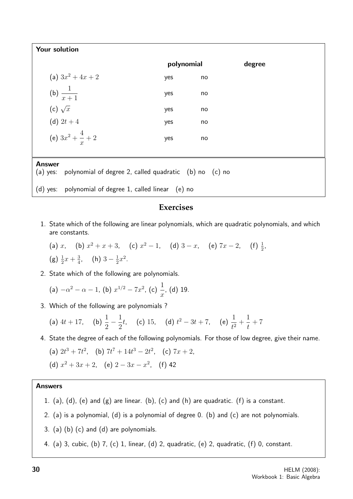| Your solution                                                                        |            |    |        |  |
|--------------------------------------------------------------------------------------|------------|----|--------|--|
|                                                                                      | polynomial |    | degree |  |
| (a) $3x^2 + 4x + 2$                                                                  | yes        | no |        |  |
| (b) $\frac{1}{x+1}$                                                                  | yes        | no |        |  |
| (c) $\sqrt{x}$                                                                       | yes        | no |        |  |
| (d) $2t + 4$                                                                         | yes        | no |        |  |
| (e) $3x^2 + \frac{4}{x} + 2$                                                         | yes        | no |        |  |
| <b>Answer</b><br>(a) yes: polynomial of degree 2, called quadratic $(b)$ no $(c)$ no |            |    |        |  |
| (d) yes: polynomial of degree 1, called linear (e) no                                |            |    |        |  |

## **Exercises**

- 1. State which of the following are linear polynomials, which are quadratic polynomials, and which are constants.
	- (a) x, (b)  $x^2 + x + 3$ , (c)  $x^2 1$ , (d)  $3 x$ , (e)  $7x 2$ , (f)  $\frac{1}{2}$ , (g)  $\frac{1}{2}x + \frac{3}{4}$  $\frac{3}{4}$ , (h)  $3-\frac{1}{2}$  $\frac{1}{2}x^2$ .
- 2. State which of the following are polynomials.

(a) 
$$
-\alpha^2 - \alpha - 1
$$
, (b)  $x^{1/2} - 7x^2$ , (c)  $\frac{1}{x}$ , (d) 19.

3. Which of the following are polynomials ?

(a) 
$$
4t + 17
$$
, (b)  $\frac{1}{2} - \frac{1}{2}t$ , (c) 15, (d)  $t^2 - 3t + 7$ , (e)  $\frac{1}{t^2} + \frac{1}{t} + 7$ 

4. State the degree of each of the following polynomials. For those of low degree, give their name.

(a) 
$$
2t^3 + 7t^2
$$
, (b)  $7t^7 + 14t^3 - 2t^2$ , (c)  $7x + 2$ ,  
(d)  $x^2 + 3x + 2$ , (e)  $2 - 3x - x^2$ , (f) 42

- 1. (a), (d), (e) and  $(g)$  are linear. (b), (c) and (h) are quadratic. (f) is a constant.
- 2. (a) is a polynomial, (d) is a polynomial of degree 0. (b) and (c) are not polynomials.
- 3. (a) (b) (c) and (d) are polynomials.
- 4. (a) 3, cubic, (b) 7, (c) 1, linear, (d) 2, quadratic, (e) 2, quadratic, (f) 0, constant.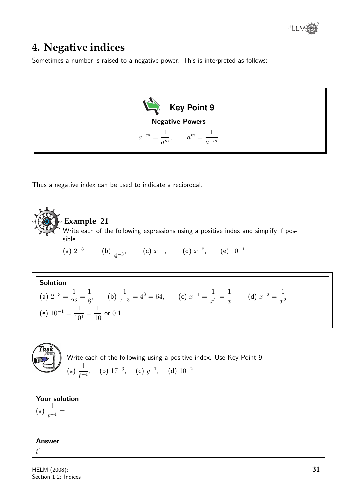## **4. Negative indices**

Sometimes a number is raised to a negative power. This is interpreted as follows:



Thus a negative index can be used to indicate a reciprocal.



## **Example 21**

Write each of the following expressions using a positive index and simplify if possible.

(a)  $2^{-3}$ , (b)  $\frac{1}{4}$  $\frac{1}{4^{-3}}$ , (c)  $x^{-1}$ , (d)  $x^{-2}$ , (e)  $10^{-1}$ 

Solution  
\n(a) 
$$
2^{-3} = \frac{1}{2^3} = \frac{1}{8}
$$
, \n(b)  $\frac{1}{4^{-3}} = 4^3 = 64$ , \n(c)  $x^{-1} = \frac{1}{x^1} = \frac{1}{x}$ , \n(d)  $x^{-2} = \frac{1}{x^2}$ , \n(e)  $10^{-1} = \frac{1}{10^1} = \frac{1}{10}$  or 0.1.

**Task**  
\nWrite each of the following using a positive index.  
\n(a) 
$$
\frac{1}{t^{-4}}
$$
, (b)  $17^{-3}$ , (c)  $y^{-1}$ , (d)  $10^{-2}$ 



Use Key Point 9.

(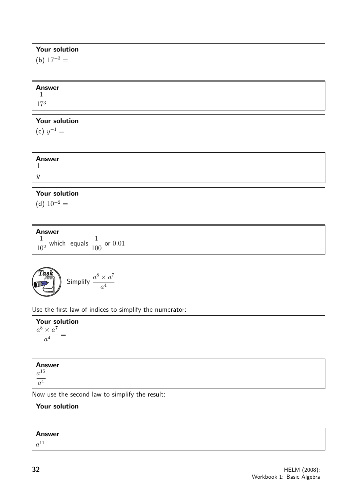| Your solution<br>(b) $17^{-3} =$                                   |
|--------------------------------------------------------------------|
| <b>Answer</b><br>$\mathbf{1}$<br>$\overline{17^3}$                 |
| Your solution<br>(c) $y^{-1} =$                                    |
| <b>Answer</b><br>1<br>$\overline{\phantom{0}}$<br>$\boldsymbol{y}$ |
| Your solution<br>(d) $10^{-2}$ =                                   |

Answer 1 10<sup>2</sup> which equals  $\frac{1}{10}$ 100 or 0.01

$$
\begin{pmatrix}\n\text{Task} \\
\text{Simplify } \frac{a^8 \times a^7}{a^4}\n\end{pmatrix}
$$

Use the first law of indices to simplify the numerator:

Your solution  $a^8 \times a^7$  $\frac{1}{a^4} =$ Answer  $a^{15}$  $a^4$ Now use the second law to simplify the result:

## Your solution Answer  $a^{11}$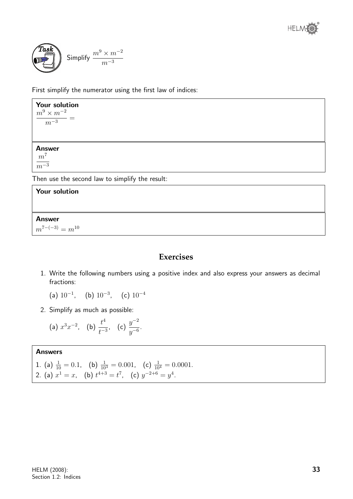



First simplify the numerator using the first law of indices:

## Your solution  $\frac{m^9 \times m^{-2}}{2}$  $\frac{m-3}{m-3}$ = Answer  $m<sup>7</sup>$  $\overline{m^{-3}}$

Then use the second law to simplify the result:

### Your solution

Answer

 $m^{7-(-3)} = m^{10}$ 

## **Exercises**

1. Write the following numbers using a positive index and also express your answers as decimal fractions:

(a)  $10^{-1}$ , (b)  $10^{-3}$ , (c)  $10^{-4}$ 

2. Simplify as much as possible:

(a) 
$$
x^3 x^{-2}
$$
, (b)  $\frac{t^4}{t^{-3}}$ , (c)  $\frac{y^{-2}}{y^{-6}}$ .

1. (a) 
$$
\frac{1}{10} = 0.1
$$
, (b)  $\frac{1}{10^3} = 0.001$ , (c)  $\frac{1}{10^4} = 0.0001$ .  
2. (a)  $x^1 = x$ , (b)  $t^{4+3} = t^7$ , (c)  $y^{-2+6} = y^4$ .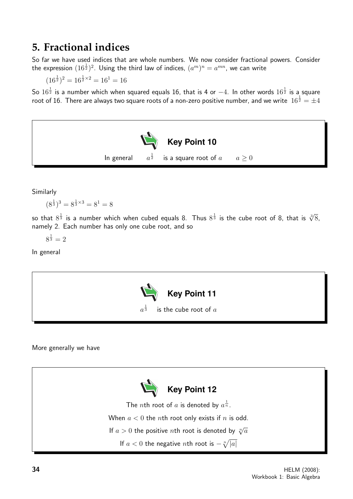## **5. Fractional indices**

So far we have used indices that are whole numbers. We now consider fractional powers. Consider the expression  $(16^{\frac{1}{2}})^2$ . Using the third law of indices,  $(a^m)^n=a^{mn}$ , we can write

 $(16^{\frac{1}{2}})^2 = 16^{\frac{1}{2} \times 2} = 16^1 = 16$ 

So  $16^{\frac{1}{2}}$  is a number which when squared equals 16, that is 4 or  $-4$ . In other words  $16^{\frac{1}{2}}$  is a square root of 16. There are always two square roots of a non-zero positive number, and we write  $\ket{16^{\frac{1}{2}}=\pm 4}$ 



Similarly

$$
(8^{\frac{1}{3}})^3 = 8^{\frac{1}{3} \times 3} = 8^1 = 8
$$

so that  $8^{\frac{1}{3}}$  is a number which when cubed equals 8. Thus  $8^{\frac{1}{3}}$  is the cube root of 8, that is  $\sqrt[3]{8},$ namely 2. Each number has only one cube root, and so

 $8^{\frac{1}{3}} = 2$ 

In general



#### More generally we have

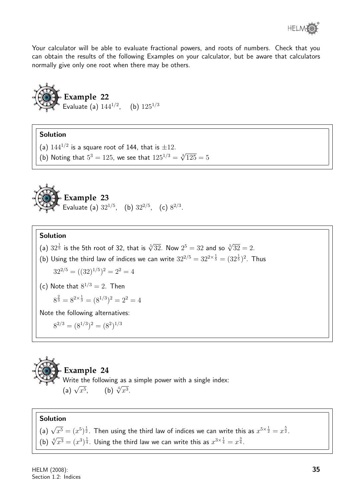

Your calculator will be able to evaluate fractional powers, and roots of numbers. Check that you can obtain the results of the following Examples on your calculator, but be aware that calculators normally give only one root when there may be others.



## Solution

- (a)  $144^{1/2}$  is a square root of 144, that is  $\pm 12$ .
- (b) Noting that  $5^3 = 125$ , we see that  $125^{1/3} = \sqrt[3]{125} = 5$



## Solution

- (a)  $32^{\frac{1}{5}}$  is the 5th root of 32, that is  $\sqrt[5]{32}$ . Now  $2^5 = 32$  and so  $\sqrt[5]{32} = 2$ .
- (b) Using the third law of indices we can write  $32^{2/5} = 32^{2 \times \frac{1}{5}} = (32^{\frac{1}{5}})^2$ . Thus

$$
32^{2/5} = ((32)^{1/5})^2 = 2^2 = 4
$$

(c) Note that 
$$
8^{1/3} = 2
$$
. Then  
 $8^{\frac{2}{3}} = 8^{2 \times \frac{1}{3}} = (8^{1/3})^2 = 2^2 = 4$ 

Note the following alternatives:

$$
8^{2/3} = (8^{1/3})^2 = (8^2)^{1/3}
$$

**Example 24**  
Write the following as a simple power with a single index:  
(a) 
$$
\sqrt{x^5}
$$
, (b)  $\sqrt[4]{x^3}$ .

## Solution

(a)  $\sqrt{x^5} = (x^5)^{\frac{1}{2}}$ . Then using the third law of indices we can write this as  $x^{5 \times \frac{1}{2}} = x^{\frac{5}{2}}$ . (b)  $\sqrt[4]{x^3} = (x^3)^{\frac{1}{4}}$ . Using the third law we can write this as  $x^{3 \times \frac{1}{4}} = x^{\frac{3}{4}}$ .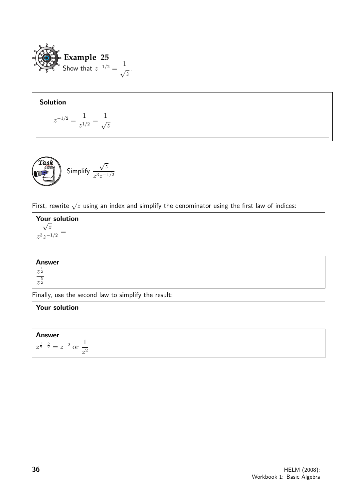

$$
z^{-1/2} = \frac{1}{z^{1/2}} = \frac{1}{\sqrt{z}}
$$

**Task** Simplify 
$$
\frac{\sqrt{z}}{z^3 z^{-1/2}}
$$

First, rewrite  $\sqrt{z}$  using an index and simplify the denominator using the first law of indices:



## Your solution Answer  $z^{\frac{1}{2}-\frac{5}{2}} = z^{-2}$  or  $\frac{1}{z}$  $z^2$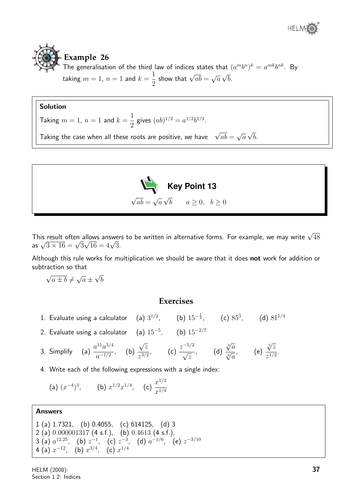

#### **Example 26** The generalisation of the third law of indices states that  $(a^m b^n)^k = a^{mk} b^{nk}$ . By taking  $m=1,~n=1$  and  $k=$ 1 2 show that  $\sqrt{ab} =$ √ a √ b.

## Solution

Taking  $m = 1$ ,  $n = 1$  and  $k =$ 1 2 gives  $(ab)^{1/2} = a^{1/2}b^{1/2}$ .

Taking the case when all these roots are positive, we have  $\sqrt{ab} =$ √ a √ b.



This result often allows answers to be written in alternative forms. For example, we may write  $\sqrt{48}$ This result often allows answer<br>as  $\sqrt{3 \times 16} = \sqrt{3} \sqrt{16} = 4 \sqrt{3}$ .

Although this rule works for multiplication we should be aware that it does not work for addition or subtraction so that

$$
\sqrt{a \pm b} \neq \sqrt{a} \pm \sqrt{b}
$$

## **Exercises**

- 1. Evaluate using a calculator (a)  $3^{1/2}$ , (b)  $15^{-\frac{1}{3}}$ , (c)  $85^3$ , (d)  $81^{1/4}$
- 2. Evaluate using a calculator  $\quad$  (a)  $15^{-5}$ ,  $\quad$  (b)  $15^{-2/7}$
- 3. Simplify (a)  $\frac{a^{11}a^{3/4}}{1/2}$  $rac{a}{a^{-1/2}}$ , (b) √ z  $\frac{\sqrt{z}}{z^{3/2}}$ , (c)  $\frac{z^{-5/2}}{\sqrt{z}}$ √ z , (d)  $\sqrt[3]{a}$  $rac{\sqrt{a}}{\sqrt[2]{a}},$  (e)  $\sqrt[5]{z}$  $\frac{\sqrt{2}}{z^{1/2}}$ .
- 4. Write each of the following expressions with a single index:

(a) 
$$
(x^{-4})^3
$$
, (b)  $x^{1/2}x^{1/4}$ , (c)  $\frac{x^{1/2}}{x^{1/4}}$ 

```
1 (a) 1.7321, (b) 0.4055, (c) 614125, (d) 3
2 (a) 0.000001317 (4 s.f.), (b) 0.4613 (4 s.f.),
3 (a) a^{12.25}, (b) z^{-1}, (c) z^{-3}, (d) a^{-1/6}, (e) z^{-3/10}4 (a) x^{-12}, (b) x^{3/4}, (c) x^{1/4}
```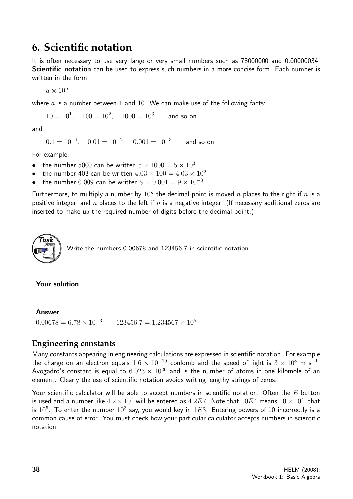## **6. Scientific notation**

It is often necessary to use very large or very small numbers such as 78000000 and 0.00000034. Scientific notation can be used to express such numbers in a more concise form. Each number is written in the form

 $a \times 10^n$ 

where  $a$  is a number between 1 and 10. We can make use of the following facts:

 $10 = 10<sup>1</sup>$ ,  $100 = 10<sup>2</sup>$ ,  $1000 = 10<sup>3</sup>$ and so on

and

 $0.1 = 10^{-1}$ ,  $0.01 = 10^{-2}$ ,  $0.001 = 10^{-3}$  and so on.

For example,

- the number 5000 can be written  $5 \times 1000 = 5 \times 10^3$
- the number 403 can be written  $4.03 \times 100 = 4.03 \times 10^2$
- the number 0.009 can be written  $9 \times 0.001 = 9 \times 10^{-3}$

Furthermore, to multiply a number by  $10^n$  the decimal point is moved n places to the right if n is a positive integer, and n places to the left if  $n$  is a negative integer. (If necessary additional zeros are inserted to make up the required number of digits before the decimal point.)



Write the numbers 0.00678 and 123456.7 in scientific notation.

#### Your solution

Answer

 $0.00678 = 6.78 \times 10^{-3}$  123456.7 = 1.234567 × 10<sup>5</sup>

## **Engineering constants**

Many constants appearing in engineering calculations are expressed in scientific notation. For example the charge on an electron equals  $1.6\times10^{-19}$  coulomb and the speed of light is  $3\times10^8$  m s $^{-1}.$ Avogadro's constant is equal to  $6.023 \times 10^{26}$  and is the number of atoms in one kilomole of an element. Clearly the use of scientific notation avoids writing lengthy strings of zeros.

Your scientific calculator will be able to accept numbers in scientific notation. Often the  $E$  button is used and a number like  $4.2\times10^7$  will be entered as  $4.2E7.$  Note that  $10E4$  means  $10\times10^4$ , that is  $10^5$ . To enter the number  $10^3$  say, you would key in  $1E3$ . Entering powers of 10 incorrectly is a common cause of error. You must check how your particular calculator accepts numbers in scientific notation.